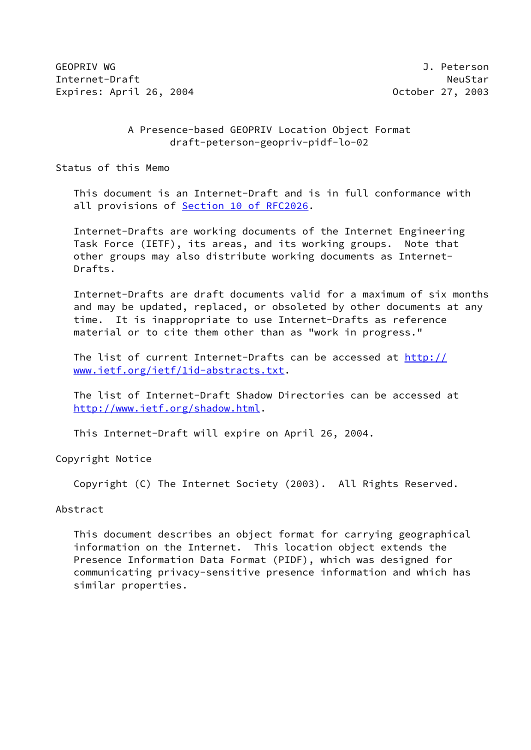GEOPRIV WG J. Peterson Internet-Draft NeuStar Expires: April 26, 2004 October 27, 2003

# A Presence-based GEOPRIV Location Object Format draft-peterson-geopriv-pidf-lo-02

Status of this Memo

 This document is an Internet-Draft and is in full conformance with all provisions of Section [10 of RFC2026.](https://datatracker.ietf.org/doc/pdf/rfc2026#section-10)

 Internet-Drafts are working documents of the Internet Engineering Task Force (IETF), its areas, and its working groups. Note that other groups may also distribute working documents as Internet- Drafts.

 Internet-Drafts are draft documents valid for a maximum of six months and may be updated, replaced, or obsoleted by other documents at any time. It is inappropriate to use Internet-Drafts as reference material or to cite them other than as "work in progress."

The list of current Internet-Drafts can be accessed at [http://](http://www.ietf.org/ietf/1id-abstracts.txt) [www.ietf.org/ietf/1id-abstracts.txt](http://www.ietf.org/ietf/1id-abstracts.txt).

 The list of Internet-Draft Shadow Directories can be accessed at <http://www.ietf.org/shadow.html>.

This Internet-Draft will expire on April 26, 2004.

Copyright Notice

Copyright (C) The Internet Society (2003). All Rights Reserved.

### Abstract

 This document describes an object format for carrying geographical information on the Internet. This location object extends the Presence Information Data Format (PIDF), which was designed for communicating privacy-sensitive presence information and which has similar properties.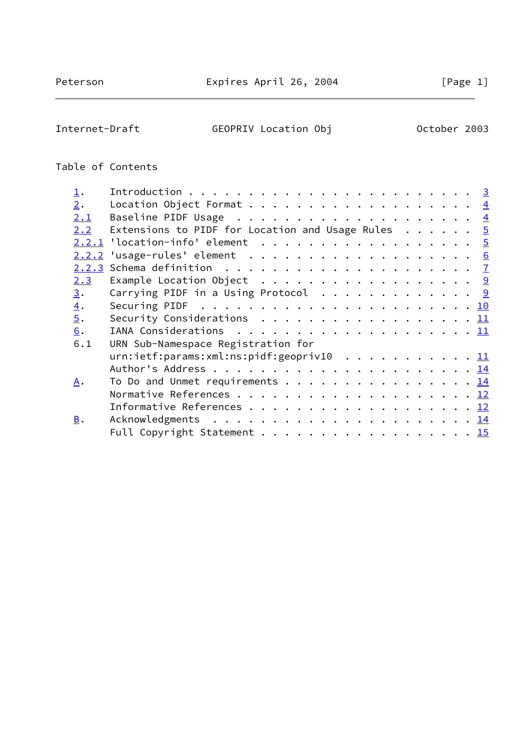$\overline{\phantom{0}}$ 

Internet-Draft GEOPRIV Location Obj October 2003

# Table of Contents

| $\mathbf{\underline{1}}$ . |                                                                                        |  |  | $\overline{\mathbf{3}}$ |
|----------------------------|----------------------------------------------------------------------------------------|--|--|-------------------------|
| 2.                         |                                                                                        |  |  |                         |
| 2.1                        |                                                                                        |  |  |                         |
| 2.2                        | Extensions to PIDF for Location and Usage Rules $5$                                    |  |  |                         |
|                            | $2.2.1$ 'location-info' element 5                                                      |  |  |                         |
| 2.2.2                      |                                                                                        |  |  |                         |
|                            |                                                                                        |  |  |                         |
| 2.3                        | Example Location Object $\cdots$ 9                                                     |  |  |                         |
| 3.                         | Carrying PIDF in a Using Protocol 9                                                    |  |  |                         |
| $\overline{4}$ .           | Securing PIDF $\ldots \ldots \ldots \ldots \ldots \ldots \ldots \ldots \underline{10}$ |  |  |                         |
| $\overline{5}$ .           | Security Considerations $\cdots$ 11                                                    |  |  |                         |
| 6.                         |                                                                                        |  |  |                         |
| 6.1                        | URN Sub-Namespace Registration for                                                     |  |  |                         |
|                            | urn:ietf:params:xml:ns:pidf:geopriv10 11                                               |  |  |                         |
|                            |                                                                                        |  |  |                         |
| Α.                         | To Do and Unmet requirements 14                                                        |  |  |                         |
|                            |                                                                                        |  |  |                         |
|                            |                                                                                        |  |  |                         |
| $B$ .                      |                                                                                        |  |  |                         |
|                            | Full Copyright Statement 15                                                            |  |  |                         |
|                            |                                                                                        |  |  |                         |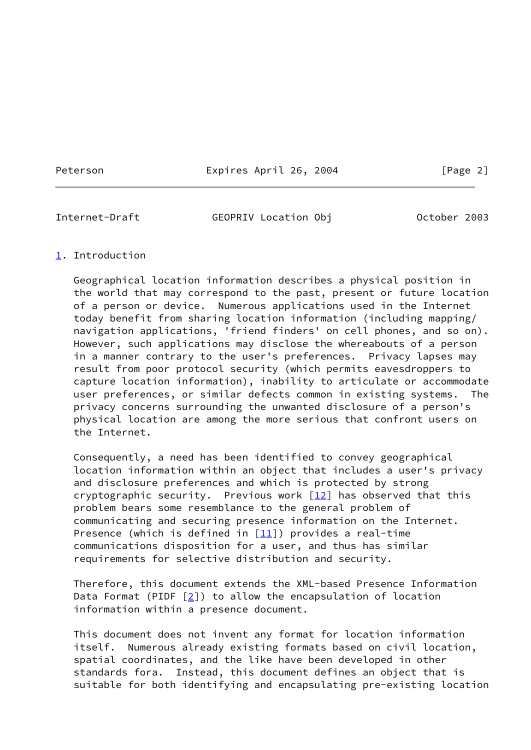Peterson Expires April 26, 2004 [Page 2]

<span id="page-2-1"></span>

Internet-Draft GEOPRIV Location Obj October 2003

## <span id="page-2-0"></span>[1](#page-2-0). Introduction

 Geographical location information describes a physical position in the world that may correspond to the past, present or future location of a person or device. Numerous applications used in the Internet today benefit from sharing location information (including mapping/ navigation applications, 'friend finders' on cell phones, and so on). However, such applications may disclose the whereabouts of a person in a manner contrary to the user's preferences. Privacy lapses may result from poor protocol security (which permits eavesdroppers to capture location information), inability to articulate or accommodate user preferences, or similar defects common in existing systems. The privacy concerns surrounding the unwanted disclosure of a person's physical location are among the more serious that confront users on the Internet.

 Consequently, a need has been identified to convey geographical location information within an object that includes a user's privacy and disclosure preferences and which is protected by strong cryptographic security. Previous work  $[12]$  $[12]$  has observed that this problem bears some resemblance to the general problem of communicating and securing presence information on the Internet. Presence (which is defined in  $[11]$  $[11]$ ) provides a real-time communications disposition for a user, and thus has similar requirements for selective distribution and security.

 Therefore, this document extends the XML-based Presence Information Data Format (PIDF  $[2]$  $[2]$ ) to allow the encapsulation of location information within a presence document.

 This document does not invent any format for location information itself. Numerous already existing formats based on civil location, spatial coordinates, and the like have been developed in other standards fora. Instead, this document defines an object that is suitable for both identifying and encapsulating pre-existing location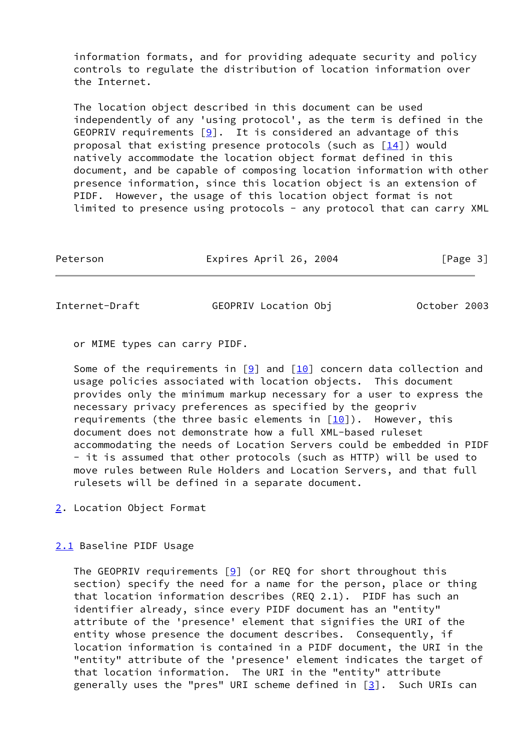information formats, and for providing adequate security and policy controls to regulate the distribution of location information over the Internet.

 The location object described in this document can be used independently of any 'using protocol', as the term is defined in the GEOPRIV requirements  $[9]$ . It is considered an advantage of this proposal that existing presence protocols (such as  $[14]$  $[14]$ ) would natively accommodate the location object format defined in this document, and be capable of composing location information with other presence information, since this location object is an extension of PIDF. However, the usage of this location object format is not limited to presence using protocols - any protocol that can carry XML

| Peterson | Expires April 26, 2004 | [Page 3] |
|----------|------------------------|----------|
|          |                        |          |

<span id="page-3-1"></span>Internet-Draft GEOPRIV Location Obj October 2003

or MIME types can carry PIDF.

Some of the requirements in  $[9]$  $[9]$  and  $[10]$  concern data collection and usage policies associated with location objects. This document provides only the minimum markup necessary for a user to express the necessary privacy preferences as specified by the geopriv requirements (the three basic elements in  $[10]$  $[10]$ ). However, this document does not demonstrate how a full XML-based ruleset accommodating the needs of Location Servers could be embedded in PIDF - it is assumed that other protocols (such as HTTP) will be used to move rules between Rule Holders and Location Servers, and that full rulesets will be defined in a separate document.

<span id="page-3-0"></span>[2](#page-3-0). Location Object Format

# <span id="page-3-2"></span>[2.1](#page-3-2) Baseline PIDF Usage

The GEOPRIV requirements  $[9]$  (or REQ for short throughout this section) specify the need for a name for the person, place or thing that location information describes (REQ 2.1). PIDF has such an identifier already, since every PIDF document has an "entity" attribute of the 'presence' element that signifies the URI of the entity whose presence the document describes. Consequently, if location information is contained in a PIDF document, the URI in the "entity" attribute of the 'presence' element indicates the target of that location information. The URI in the "entity" attribute generally uses the "pres" URI scheme defined in  $[3]$  $[3]$ . Such URIs can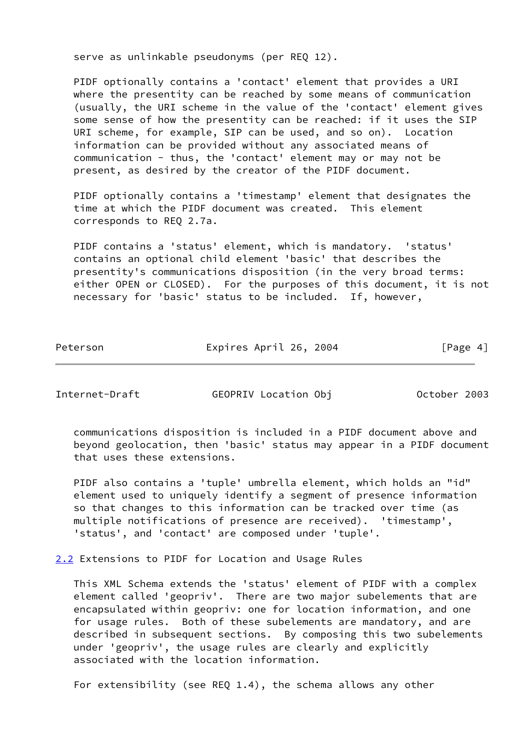serve as unlinkable pseudonyms (per REQ 12).

 PIDF optionally contains a 'contact' element that provides a URI where the presentity can be reached by some means of communication (usually, the URI scheme in the value of the 'contact' element gives some sense of how the presentity can be reached: if it uses the SIP URI scheme, for example, SIP can be used, and so on). Location information can be provided without any associated means of communication - thus, the 'contact' element may or may not be present, as desired by the creator of the PIDF document.

 PIDF optionally contains a 'timestamp' element that designates the time at which the PIDF document was created. This element corresponds to REQ 2.7a.

 PIDF contains a 'status' element, which is mandatory. 'status' contains an optional child element 'basic' that describes the presentity's communications disposition (in the very broad terms: either OPEN or CLOSED). For the purposes of this document, it is not necessary for 'basic' status to be included. If, however,

Peterson **Expires April 26, 2004** [Page 4]

<span id="page-4-1"></span>Internet-Draft GEOPRIV Location Obj October 2003

 communications disposition is included in a PIDF document above and beyond geolocation, then 'basic' status may appear in a PIDF document that uses these extensions.

 PIDF also contains a 'tuple' umbrella element, which holds an "id" element used to uniquely identify a segment of presence information so that changes to this information can be tracked over time (as multiple notifications of presence are received). 'timestamp', 'status', and 'contact' are composed under 'tuple'.

<span id="page-4-0"></span>[2.2](#page-4-0) Extensions to PIDF for Location and Usage Rules

 This XML Schema extends the 'status' element of PIDF with a complex element called 'geopriv'. There are two major subelements that are encapsulated within geopriv: one for location information, and one for usage rules. Both of these subelements are mandatory, and are described in subsequent sections. By composing this two subelements under 'geopriv', the usage rules are clearly and explicitly associated with the location information.

For extensibility (see REQ 1.4), the schema allows any other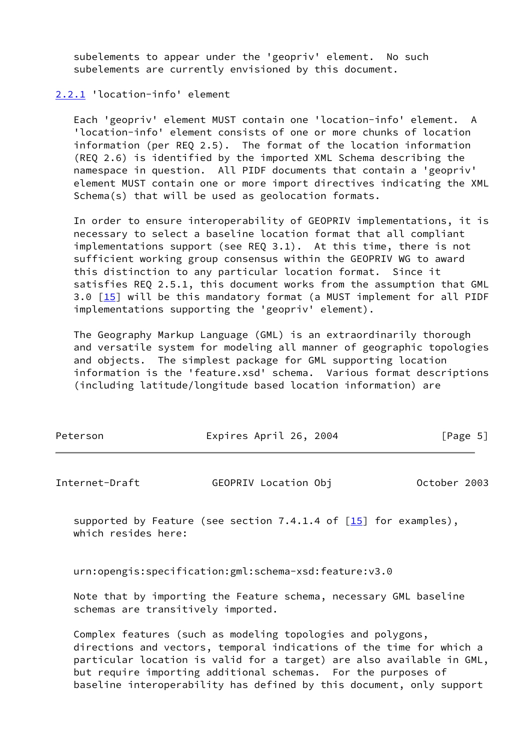subelements to appear under the 'geopriv' element. No such subelements are currently envisioned by this document.

## <span id="page-5-0"></span>[2.2.1](#page-5-0) 'location-info' element

 Each 'geopriv' element MUST contain one 'location-info' element. A 'location-info' element consists of one or more chunks of location information (per REQ 2.5). The format of the location information (REQ 2.6) is identified by the imported XML Schema describing the namespace in question. All PIDF documents that contain a 'geopriv' element MUST contain one or more import directives indicating the XML Schema(s) that will be used as geolocation formats.

 In order to ensure interoperability of GEOPRIV implementations, it is necessary to select a baseline location format that all compliant implementations support (see REQ 3.1). At this time, there is not sufficient working group consensus within the GEOPRIV WG to award this distinction to any particular location format. Since it satisfies REQ 2.5.1, this document works from the assumption that GML 3.0 [\[15\]](#page-14-2) will be this mandatory format (a MUST implement for all PIDF implementations supporting the 'geopriv' element).

 The Geography Markup Language (GML) is an extraordinarily thorough and versatile system for modeling all manner of geographic topologies and objects. The simplest package for GML supporting location information is the 'feature.xsd' schema. Various format descriptions (including latitude/longitude based location information) are

| Peterson | Expires April 26, 2004 | [Page 5] |
|----------|------------------------|----------|
|          |                        |          |

<span id="page-5-1"></span>

| Internet-Draft | GEOPRIV Location Obj | October 2003 |
|----------------|----------------------|--------------|
|----------------|----------------------|--------------|

supported by Feature (see section  $7.4.1.4$  of  $[15]$  for examples), which resides here:

urn:opengis:specification:gml:schema-xsd:feature:v3.0

 Note that by importing the Feature schema, necessary GML baseline schemas are transitively imported.

 Complex features (such as modeling topologies and polygons, directions and vectors, temporal indications of the time for which a particular location is valid for a target) are also available in GML, but require importing additional schemas. For the purposes of baseline interoperability has defined by this document, only support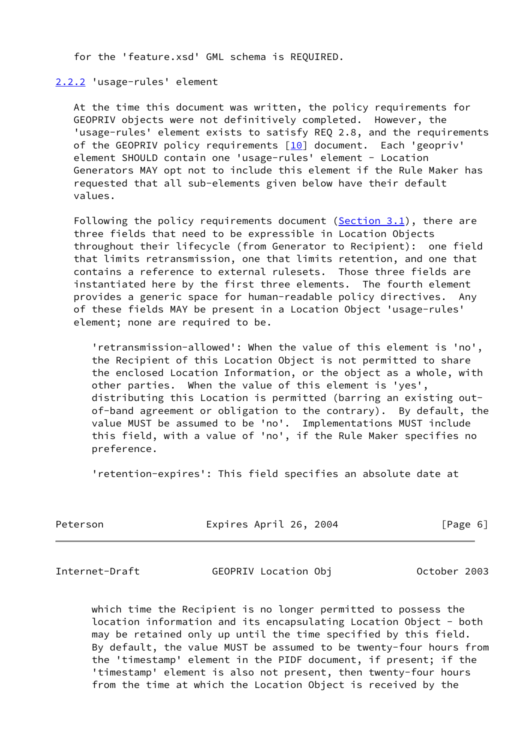for the 'feature.xsd' GML schema is REQUIRED.

### <span id="page-6-0"></span>[2.2.2](#page-6-0) 'usage-rules' element

 At the time this document was written, the policy requirements for GEOPRIV objects were not definitively completed. However, the 'usage-rules' element exists to satisfy REQ 2.8, and the requirements of the GEOPRIV policy requirements  $[10]$  $[10]$  document. Each 'geopriv' element SHOULD contain one 'usage-rules' element - Location Generators MAY opt not to include this element if the Rule Maker has requested that all sub-elements given below have their default values.

Following the policy requirements document  $(Section 3.1)$ , there are three fields that need to be expressible in Location Objects throughout their lifecycle (from Generator to Recipient): one field that limits retransmission, one that limits retention, and one that contains a reference to external rulesets. Those three fields are instantiated here by the first three elements. The fourth element provides a generic space for human-readable policy directives. Any of these fields MAY be present in a Location Object 'usage-rules' element; none are required to be.

 'retransmission-allowed': When the value of this element is 'no', the Recipient of this Location Object is not permitted to share the enclosed Location Information, or the object as a whole, with other parties. When the value of this element is 'yes', distributing this Location is permitted (barring an existing out of-band agreement or obligation to the contrary). By default, the value MUST be assumed to be 'no'. Implementations MUST include this field, with a value of 'no', if the Rule Maker specifies no preference.

'retention-expires': This field specifies an absolute date at

Peterson **Expires April 26, 2004** [Page 6]

<span id="page-6-1"></span>Internet-Draft GEOPRIV Location Obj October 2003

 which time the Recipient is no longer permitted to possess the location information and its encapsulating Location Object - both may be retained only up until the time specified by this field. By default, the value MUST be assumed to be twenty-four hours from the 'timestamp' element in the PIDF document, if present; if the 'timestamp' element is also not present, then twenty-four hours from the time at which the Location Object is received by the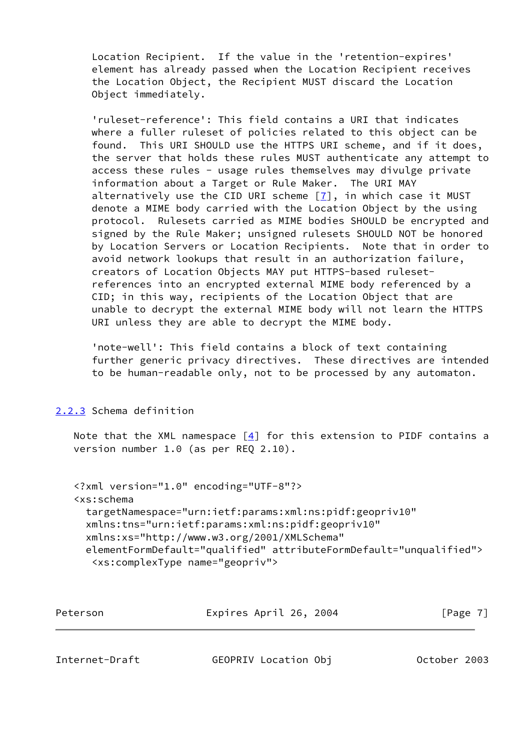Location Recipient. If the value in the 'retention-expires' element has already passed when the Location Recipient receives the Location Object, the Recipient MUST discard the Location Object immediately.

 'ruleset-reference': This field contains a URI that indicates where a fuller ruleset of policies related to this object can be found. This URI SHOULD use the HTTPS URI scheme, and if it does, the server that holds these rules MUST authenticate any attempt to access these rules - usage rules themselves may divulge private information about a Target or Rule Maker. The URI MAY alternatively use the CID URI scheme  $[7]$  $[7]$ , in which case it MUST denote a MIME body carried with the Location Object by the using protocol. Rulesets carried as MIME bodies SHOULD be encrypted and signed by the Rule Maker; unsigned rulesets SHOULD NOT be honored by Location Servers or Location Recipients. Note that in order to avoid network lookups that result in an authorization failure, creators of Location Objects MAY put HTTPS-based ruleset references into an encrypted external MIME body referenced by a CID; in this way, recipients of the Location Object that are unable to decrypt the external MIME body will not learn the HTTPS URI unless they are able to decrypt the MIME body.

 'note-well': This field contains a block of text containing further generic privacy directives. These directives are intended to be human-readable only, not to be processed by any automaton.

## <span id="page-7-0"></span>[2.2.3](#page-7-0) Schema definition

Note that the XML namespace  $[4]$  $[4]$  for this extension to PIDF contains a version number 1.0 (as per REQ 2.10).

```
 <?xml version="1.0" encoding="UTF-8"?>
 <xs:schema
   targetNamespace="urn:ietf:params:xml:ns:pidf:geopriv10"
   xmlns:tns="urn:ietf:params:xml:ns:pidf:geopriv10"
  xmlns:xs="http://www.w3.org/2001/XMLSchema"
  elementFormDefault="qualified" attributeFormDefault="unqualified">
    <xs:complexType name="geopriv">
```

| Peterson | Expires April 26, 2004 | [Page 7] |
|----------|------------------------|----------|
|          |                        |          |

Internet-Draft GEOPRIV Location Obj October 2003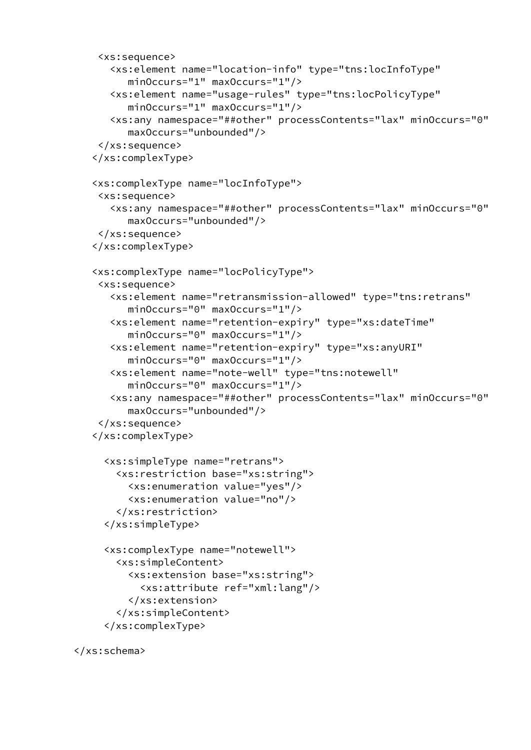```
 <xs:sequence>
    <xs:element name="location-info" type="tns:locInfoType"
       minOccurs="1" maxOccurs="1"/>
    <xs:element name="usage-rules" type="tns:locPolicyType"
       minOccurs="1" maxOccurs="1"/>
    <xs:any namespace="##other" processContents="lax" minOccurs="0"
       maxOccurs="unbounded"/>
  </xs:sequence>
 </xs:complexType>
 <xs:complexType name="locInfoType">
  <xs:sequence>
    <xs:any namespace="##other" processContents="lax" minOccurs="0"
       maxOccurs="unbounded"/>
  </xs:sequence>
 </xs:complexType>
 <xs:complexType name="locPolicyType">
  <xs:sequence>
    <xs:element name="retransmission-allowed" type="tns:retrans"
       minOccurs="0" maxOccurs="1"/>
    <xs:element name="retention-expiry" type="xs:dateTime"
       minOccurs="0" maxOccurs="1"/>
    <xs:element name="retention-expiry" type="xs:anyURI"
       minOccurs="0" maxOccurs="1"/>
    <xs:element name="note-well" type="tns:notewell"
       minOccurs="0" maxOccurs="1"/>
    <xs:any namespace="##other" processContents="lax" minOccurs="0"
       maxOccurs="unbounded"/>
  </xs:sequence>
 </xs:complexType>
   <xs:simpleType name="retrans">
     <xs:restriction base="xs:string">
       <xs:enumeration value="yes"/>
       <xs:enumeration value="no"/>
     </xs:restriction>
   </xs:simpleType>
   <xs:complexType name="notewell">
     <xs:simpleContent>
       <xs:extension base="xs:string">
         <xs:attribute ref="xml:lang"/>
       </xs:extension>
     </xs:simpleContent>
   </xs:complexType>
```

```
 </xs:schema>
```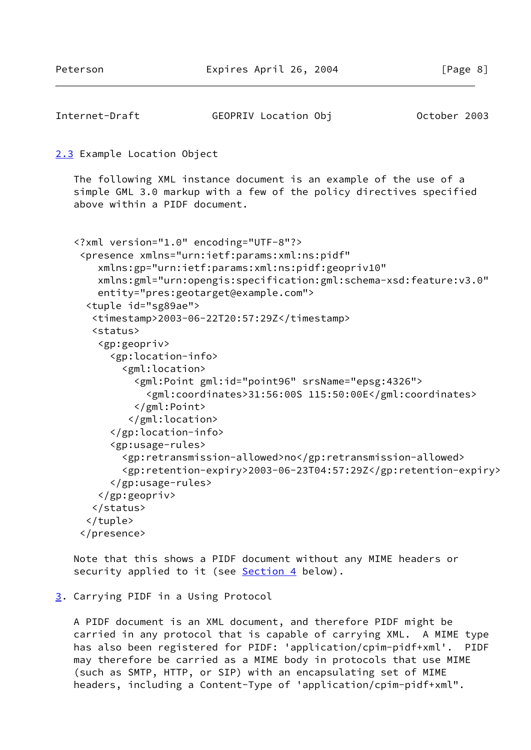<span id="page-9-1"></span>Internet-Draft GEOPRIV Location Obj October 2003

```
2.3 Example Location Object
    The following XML instance document is an example of the use of a
    simple GML 3.0 markup with a few of the policy directives specified
    above within a PIDF document.
    <?xml version="1.0" encoding="UTF-8"?>
     <presence xmlns="urn:ietf:params:xml:ns:pidf"
        xmlns:gp="urn:ietf:params:xml:ns:pidf:geopriv10"
        xmlns:gml="urn:opengis:specification:gml:schema-xsd:feature:v3.0"
        entity="pres:geotarget@example.com">
      <tuple id="sg89ae">
```

```
 <timestamp>2003-06-22T20:57:29Z</timestamp>
```

```
 <status>
```

```
 <gp:geopriv>
      <gp:location-info>
        <gml:location>
          <gml:Point gml:id="point96" srsName="epsg:4326">
             <gml:coordinates>31:56:00S 115:50:00E</gml:coordinates>
          </gml:Point>
         </gml:location>
      </gp:location-info>
      <gp:usage-rules>
        <gp:retransmission-allowed>no</gp:retransmission-allowed>
        <gp:retention-expiry>2003-06-23T04:57:29Z</gp:retention-expiry>
      </gp:usage-rules>
    </gp:geopriv>
   </status>
  </tuple>
 </presence>
```
 Note that this shows a PIDF document without any MIME headers or security applied to it (see **Section 4** below).

### <span id="page-9-2"></span>[3](#page-9-2). Carrying PIDF in a Using Protocol

 A PIDF document is an XML document, and therefore PIDF might be carried in any protocol that is capable of carrying XML. A MIME type has also been registered for PIDF: 'application/cpim-pidf+xml'. PIDF may therefore be carried as a MIME body in protocols that use MIME (such as SMTP, HTTP, or SIP) with an encapsulating set of MIME headers, including a Content-Type of 'application/cpim-pidf+xml".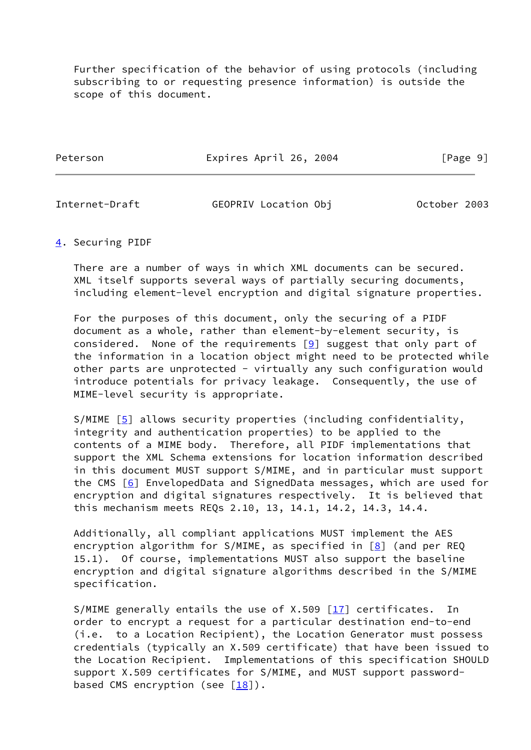Further specification of the behavior of using protocols (including subscribing to or requesting presence information) is outside the scope of this document.

Peterson **Expires April 26, 2004** [Page 9]

<span id="page-10-1"></span>Internet-Draft GEOPRIV Location Obj October 2003

### <span id="page-10-0"></span>[4](#page-10-0). Securing PIDF

 There are a number of ways in which XML documents can be secured. XML itself supports several ways of partially securing documents, including element-level encryption and digital signature properties.

 For the purposes of this document, only the securing of a PIDF document as a whole, rather than element-by-element security, is considered. None of the requirements  $[9]$  $[9]$  suggest that only part of the information in a location object might need to be protected while other parts are unprotected - virtually any such configuration would introduce potentials for privacy leakage. Consequently, the use of MIME-level security is appropriate.

S/MIME [\[5](#page-13-8)] allows security properties (including confidentiality, integrity and authentication properties) to be applied to the contents of a MIME body. Therefore, all PIDF implementations that support the XML Schema extensions for location information described in this document MUST support S/MIME, and in particular must support the CMS [\[6](#page-13-9)] EnvelopedData and SignedData messages, which are used for encryption and digital signatures respectively. It is believed that this mechanism meets REQs 2.10, 13, 14.1, 14.2, 14.3, 14.4.

 Additionally, all compliant applications MUST implement the AES encryption algorithm for  $S/MIME$ , as specified in  $[8]$  (and per REQ 15.1). Of course, implementations MUST also support the baseline encryption and digital signature algorithms described in the S/MIME specification.

S/MIME generally entails the use of  $X.509$  [[17\]](#page-14-3) certificates. In order to encrypt a request for a particular destination end-to-end (i.e. to a Location Recipient), the Location Generator must possess credentials (typically an X.509 certificate) that have been issued to the Location Recipient. Implementations of this specification SHOULD support X.509 certificates for S/MIME, and MUST support password based CMS encryption (see  $[18]$  $[18]$ ).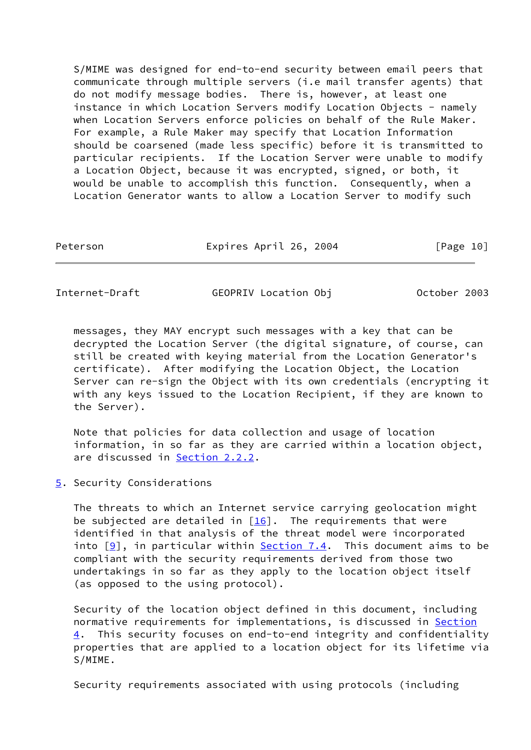S/MIME was designed for end-to-end security between email peers that communicate through multiple servers (i.e mail transfer agents) that do not modify message bodies. There is, however, at least one instance in which Location Servers modify Location Objects - namely when Location Servers enforce policies on behalf of the Rule Maker. For example, a Rule Maker may specify that Location Information should be coarsened (made less specific) before it is transmitted to particular recipients. If the Location Server were unable to modify a Location Object, because it was encrypted, signed, or both, it would be unable to accomplish this function. Consequently, when a Location Generator wants to allow a Location Server to modify such

Peterson **Expires April 26, 2004** [Page 10]

<span id="page-11-1"></span>Internet-Draft GEOPRIV Location Obj October 2003

 messages, they MAY encrypt such messages with a key that can be decrypted the Location Server (the digital signature, of course, can still be created with keying material from the Location Generator's certificate). After modifying the Location Object, the Location Server can re-sign the Object with its own credentials (encrypting it with any keys issued to the Location Recipient, if they are known to the Server).

 Note that policies for data collection and usage of location information, in so far as they are carried within a location object, are discussed in [Section 2.2.2](#page-6-0).

<span id="page-11-0"></span>[5](#page-11-0). Security Considerations

 The threats to which an Internet service carrying geolocation might be subjected are detailed in  $[16]$ . The requirements that were identified in that analysis of the threat model were incorporated into  $[9]$ , in particular within Section 7.4. This document aims to be compliant with the security requirements derived from those two undertakings in so far as they apply to the location object itself (as opposed to the using protocol).

 Security of the location object defined in this document, including normative requirements for implementations, is discussed in [Section](#page-10-0) [4](#page-10-0). This security focuses on end-to-end integrity and confidentiality properties that are applied to a location object for its lifetime via S/MIME.

Security requirements associated with using protocols (including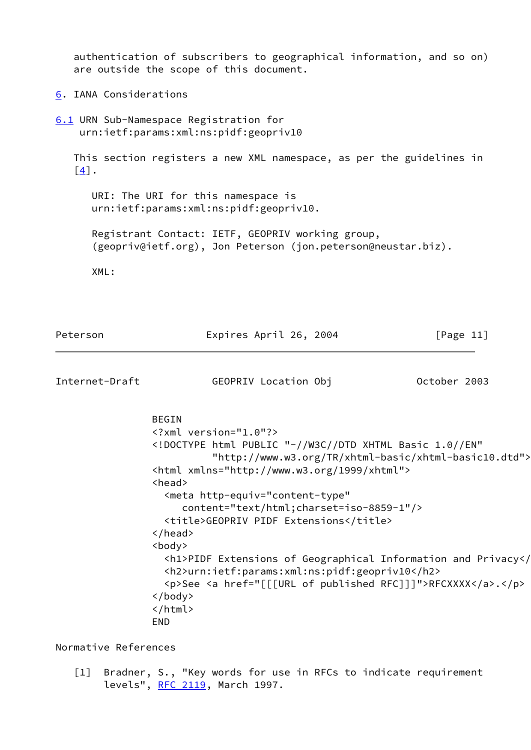authentication of subscribers to geographical information, and so on) are outside the scope of this document.

<span id="page-12-0"></span>[6](#page-12-0). IANA Considerations

<span id="page-12-2"></span>[6.1](#page-12-2) URN Sub-Namespace Registration for urn:ietf:params:xml:ns:pidf:geopriv10

 This section registers a new XML namespace, as per the guidelines in  $\lceil 4 \rceil$ .

 URI: The URI for this namespace is urn:ietf:params:xml:ns:pidf:geopriv10.

 Registrant Contact: IETF, GEOPRIV working group, (geopriv@ietf.org), Jon Peterson (jon.peterson@neustar.biz).

XML:

<span id="page-12-1"></span>

| Peterson             | Expires April 26, 2004                                                                                                   | [Page $11$ ] |
|----------------------|--------------------------------------------------------------------------------------------------------------------------|--------------|
| Internet-Draft       | GEOPRIV Location Obj                                                                                                     | October 2003 |
|                      | <b>BEGIN</b>                                                                                                             |              |
|                      | $\langle ? \times m1 \rangle$ version="1.0"?>                                                                            |              |
|                      | html PUBLIC "-//W3C//DTD XHTML Basic 1.0//EN"<br "http://www.w3.org/TR/xhtml-basic/xhtml-basic10.dtd">                   |              |
|                      | <html xmlns="http://www.w3.org/1999/xhtml"></html>                                                                       |              |
|                      | <head></head>                                                                                                            |              |
|                      | <meta <="" http-equiv="content-type" td=""/> <td></td>                                                                   |              |
|                      | content="text/html;charset=iso-8859-1"/>                                                                                 |              |
|                      | <title>GEOPRIV PIDF Extensions</title>                                                                                   |              |
|                      | $\langle$ /head>                                                                                                         |              |
|                      | <body></body>                                                                                                            |              |
|                      | <h1>PIDF Extensions of Geographical Information and Privacy<!--<br--><h2>urn:ietf:params:xml:ns:pidf:geopriv10</h2></h1> |              |
|                      | <p>See <a href="[[[URL of published RFC]]]">RFCXXXX</a>.</p>                                                             |              |
|                      | $\langle /$ body>                                                                                                        |              |
|                      |                                                                                                                          |              |
|                      | <b>END</b>                                                                                                               |              |
| Normative References |                                                                                                                          |              |
|                      |                                                                                                                          |              |

 [1] Bradner, S., "Key words for use in RFCs to indicate requirement levels", [RFC 2119](https://datatracker.ietf.org/doc/pdf/rfc2119), March 1997.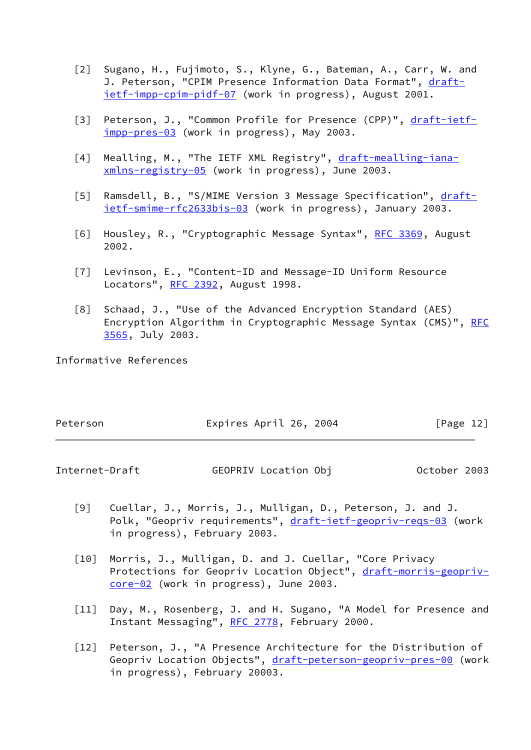- <span id="page-13-2"></span> [2] Sugano, H., Fujimoto, S., Klyne, G., Bateman, A., Carr, W. and J. Peterson, "CPIM Presence Information Data Format", [draft](https://datatracker.ietf.org/doc/pdf/draft-ietf-impp-cpim-pidf-07) [ietf-impp-cpim-pidf-07](https://datatracker.ietf.org/doc/pdf/draft-ietf-impp-cpim-pidf-07) (work in progress), August 2001.
- <span id="page-13-5"></span>[3] Peterson, J., "Common Profile for Presence (CPP)", [draft-ietf](https://datatracker.ietf.org/doc/pdf/draft-ietf-impp-pres-03) [impp-pres-03](https://datatracker.ietf.org/doc/pdf/draft-ietf-impp-pres-03) (work in progress), May 2003.
- <span id="page-13-7"></span>[4] Mealling, M., "The IETF XML Registry", [draft-mealling-iana](https://datatracker.ietf.org/doc/pdf/draft-mealling-iana-xmlns-registry-05) [xmlns-registry-05](https://datatracker.ietf.org/doc/pdf/draft-mealling-iana-xmlns-registry-05) (work in progress), June 2003.
- <span id="page-13-8"></span>[5] Ramsdell, B., "S/MIME Version 3 Message Specification", [draft](https://datatracker.ietf.org/doc/pdf/draft-ietf-smime-rfc2633bis-03) [ietf-smime-rfc2633bis-03](https://datatracker.ietf.org/doc/pdf/draft-ietf-smime-rfc2633bis-03) (work in progress), January 2003.
- <span id="page-13-9"></span>[6] Housley, R., "Cryptographic Message Syntax", [RFC 3369](https://datatracker.ietf.org/doc/pdf/rfc3369), August 2002.
- <span id="page-13-6"></span> [7] Levinson, E., "Content-ID and Message-ID Uniform Resource Locators", [RFC 2392](https://datatracker.ietf.org/doc/pdf/rfc2392), August 1998.
- <span id="page-13-10"></span> [8] Schaad, J., "Use of the Advanced Encryption Standard (AES) Encryption Algorithm in Cryptographic Message Syntax (CMS)", [RFC](https://datatracker.ietf.org/doc/pdf/rfc3565) [3565](https://datatracker.ietf.org/doc/pdf/rfc3565), July 2003.

Informative References

| Peterson | Expires April 26, 2004 | [Page 12] |  |
|----------|------------------------|-----------|--|
|          |                        |           |  |

Internet-Draft GEOPRIV Location Obj October 2003

- <span id="page-13-3"></span> [9] Cuellar, J., Morris, J., Mulligan, D., Peterson, J. and J. Polk, "Geopriv requirements", [draft-ietf-geopriv-reqs-03](https://datatracker.ietf.org/doc/pdf/draft-ietf-geopriv-reqs-03) (work in progress), February 2003.
- <span id="page-13-4"></span> [10] Morris, J., Mulligan, D. and J. Cuellar, "Core Privacy Protections for Geopriv Location Object", [draft-morris-geopriv](https://datatracker.ietf.org/doc/pdf/draft-morris-geopriv-core-02) [core-02](https://datatracker.ietf.org/doc/pdf/draft-morris-geopriv-core-02) (work in progress), June 2003.
- <span id="page-13-1"></span>[11] Day, M., Rosenberg, J. and H. Sugano, "A Model for Presence and Instant Messaging", [RFC 2778](https://datatracker.ietf.org/doc/pdf/rfc2778), February 2000.
- <span id="page-13-0"></span> [12] Peterson, J., "A Presence Architecture for the Distribution of Geopriv Location Objects", [draft-peterson-geopriv-pres-00](https://datatracker.ietf.org/doc/pdf/draft-peterson-geopriv-pres-00) (work in progress), February 20003.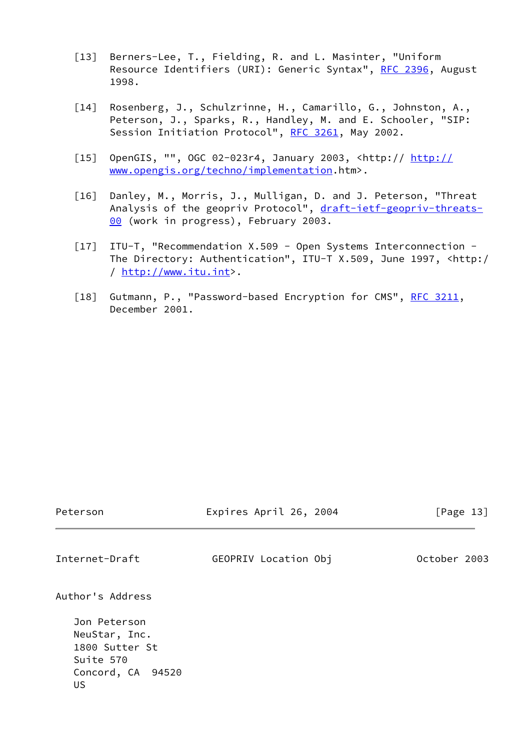- [13] Berners-Lee, T., Fielding, R. and L. Masinter, "Uniform Resource Identifiers (URI): Generic Syntax", [RFC 2396,](https://datatracker.ietf.org/doc/pdf/rfc2396) August 1998.
- <span id="page-14-1"></span> [14] Rosenberg, J., Schulzrinne, H., Camarillo, G., Johnston, A., Peterson, J., Sparks, R., Handley, M. and E. Schooler, "SIP: Session Initiation Protocol", [RFC 3261,](https://datatracker.ietf.org/doc/pdf/rfc3261) May 2002.
- <span id="page-14-2"></span>[15] OpenGIS, "", OGC 02-023r4, January 2003, <http:// [http://](http://www.opengis.org/techno/implementation) [www.opengis.org/techno/implementation.](http://www.opengis.org/techno/implementation)htm>.
- <span id="page-14-5"></span> [16] Danley, M., Morris, J., Mulligan, D. and J. Peterson, "Threat Analysis of the geopriv Protocol", [draft-ietf-geopriv-threats-](https://datatracker.ietf.org/doc/pdf/draft-ietf-geopriv-threats-00) [00](https://datatracker.ietf.org/doc/pdf/draft-ietf-geopriv-threats-00) (work in progress), February 2003.
- <span id="page-14-3"></span> [17] ITU-T, "Recommendation X.509 - Open Systems Interconnection - The Directory: Authentication", ITU-T X.509, June 1997, <http:/ /<http://www.itu.int>>.
- <span id="page-14-4"></span>[18] Gutmann, P., "Password-based Encryption for CMS", [RFC 3211](https://datatracker.ietf.org/doc/pdf/rfc3211), December 2001.

<span id="page-14-0"></span>

| Peterson                                                                                                     | Expires April 26, 2004 | [Page $13$ ] |
|--------------------------------------------------------------------------------------------------------------|------------------------|--------------|
| Internet-Draft                                                                                               | GEOPRIV Location Obj   | October 2003 |
| Author's Address<br>Jon Peterson<br>NeuStar, Inc.<br>1800 Sutter St<br>Suite 570<br>Concord, CA 94520<br>US. |                        |              |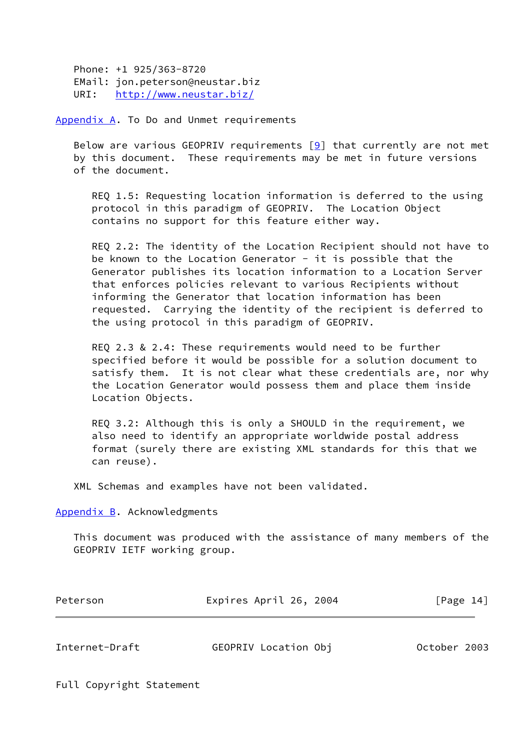Phone: +1 925/363-8720 EMail: jon.peterson@neustar.biz URI: <http://www.neustar.biz/>

<span id="page-15-0"></span>[Appendix A.](#page-15-0) To Do and Unmet requirements

Below are various GEOPRIV requirements  $[9]$  $[9]$  that currently are not met by this document. These requirements may be met in future versions of the document.

 REQ 1.5: Requesting location information is deferred to the using protocol in this paradigm of GEOPRIV. The Location Object contains no support for this feature either way.

 REQ 2.2: The identity of the Location Recipient should not have to be known to the Location Generator - it is possible that the Generator publishes its location information to a Location Server that enforces policies relevant to various Recipients without informing the Generator that location information has been requested. Carrying the identity of the recipient is deferred to the using protocol in this paradigm of GEOPRIV.

 REQ 2.3 & 2.4: These requirements would need to be further specified before it would be possible for a solution document to satisfy them. It is not clear what these credentials are, nor why the Location Generator would possess them and place them inside Location Objects.

 REQ 3.2: Although this is only a SHOULD in the requirement, we also need to identify an appropriate worldwide postal address format (surely there are existing XML standards for this that we can reuse).

XML Schemas and examples have not been validated.

<span id="page-15-1"></span>[Appendix B.](#page-15-1) Acknowledgments

 This document was produced with the assistance of many members of the GEOPRIV IETF working group.

| Peterson | Expires April 26, 2004 | [Page 14] |
|----------|------------------------|-----------|
|          |                        |           |

<span id="page-15-2"></span>Internet-Draft GEOPRIV Location Obj October 2003